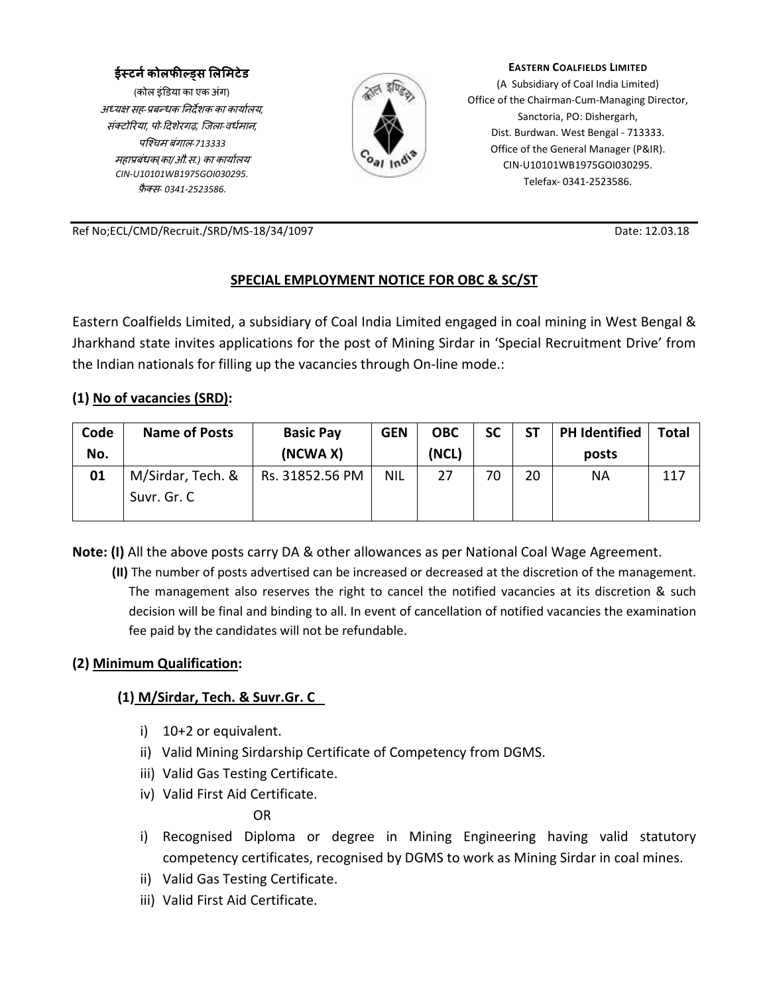### ईस्टने कोलफील्ड्स लिमिटेड

(कोल इंडया का एक अंग) अ
य सह*-*बधक नदशक का कायालय*,* संटोरया*,* पो*-* दशेरगढ़*,* िजला*-*वधमान*,* पि'चम बंगाल*-713333* महाबंधक*(*का*/*औ*.*स*.)* का कायालय *CIN-U10101WB1975GOI030295.* <u>फ़ैक्स</u>- 0341-2523586.



**EASTERN COALFIELDS LIMITED**

(A Subsidiary of Coal India Limited) Office of the Chairman-Cum-Managing Director, Sanctoria, PO: Dishergarh, Dist. Burdwan. West Bengal - 713333. Office of the General Manager (P&IR). CIN-U10101WB1975GOI030295. Telefax- 0341-2523586.

Ref No;ECL/CMD/Recruit./SRD/MS-18/34/1097 Date: 12.03.18

### **SPECIAL EMPLOYMENT NOTICE FOR OBC & SC/ST**

Eastern Coalfields Limited, a subsidiary of Coal India Limited engaged in coal mining in West Bengal & Jharkhand state invites applications for the post of Mining Sirdar in 'Special Recruitment Drive' from the Indian nationals for filling up the vacancies through On-line mode.:

#### **(1) No of vacancies (SRD):**

| Code<br>No. | <b>Name of Posts</b>             | <b>Basic Pay</b><br>(NCWA X) | <b>GEN</b> | <b>OBC</b><br>(NCL) | <b>SC</b> | <b>ST</b> | <b>PH Identified</b><br>posts | Total |
|-------------|----------------------------------|------------------------------|------------|---------------------|-----------|-----------|-------------------------------|-------|
| 01          | M/Sirdar, Tech. &<br>Suvr. Gr. C | Rs. 31852.56 PM              | <b>NIL</b> | 27                  | 70        | 20        | ΝA                            | 117   |

**Note: (I)** All the above posts carry DA & other allowances as per National Coal Wage Agreement.

**(II)** The number of posts advertised can be increased or decreased at the discretion of the management. The management also reserves the right to cancel the notified vacancies at its discretion & such decision will be final and binding to all. In event of cancellation of notified vacancies the examination fee paid by the candidates will not be refundable.

#### **(2) Minimum Qualification:**

### **(1) M/Sirdar, Tech. & Suvr.Gr. C**

- i) 10+2 or equivalent.
- ii) Valid Mining Sirdarship Certificate of Competency from DGMS.
- iii) Valid Gas Testing Certificate.
- iv) Valid First Aid Certificate.

OR

- i) Recognised Diploma or degree in Mining Engineering having valid statutory competency certificates, recognised by DGMS to work as Mining Sirdar in coal mines.
- ii) Valid Gas Testing Certificate.
- iii) Valid First Aid Certificate.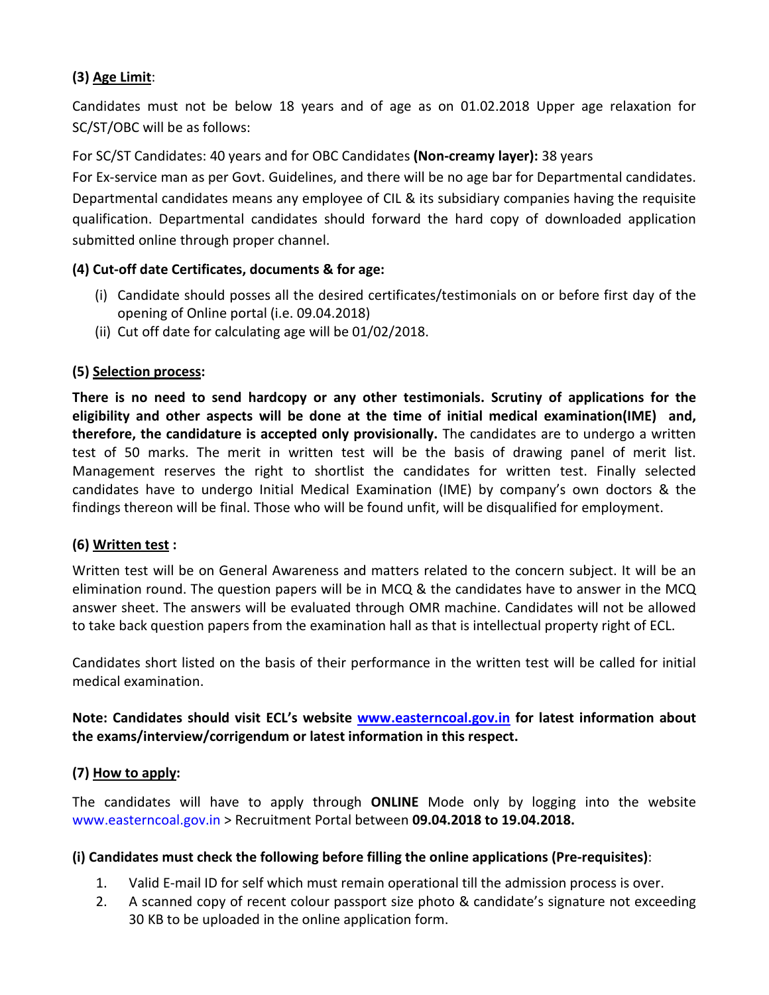# **(3) Age Limit**:

Candidates must not be below 18 years and of age as on 01.02.2018 Upper age relaxation for SC/ST/OBC will be as follows:

For SC/ST Candidates: 40 years and for OBC Candidates **(Non-creamy layer):** 38 years

For Ex-service man as per Govt. Guidelines, and there will be no age bar for Departmental candidates. Departmental candidates means any employee of CIL & its subsidiary companies having the requisite qualification. Departmental candidates should forward the hard copy of downloaded application submitted online through proper channel.

## **(4) Cut-off date Certificates, documents & for age:**

- (i) Candidate should posses all the desired certificates/testimonials on or before first day of the opening of Online portal (i.e. 09.04.2018)
- (ii) Cut off date for calculating age will be 01/02/2018.

## **(5) Selection process:**

**There is no need to send hardcopy or any other testimonials. Scrutiny of applications for the eligibility and other aspects will be done at the time of initial medical examination(IME) and, therefore, the candidature is accepted only provisionally.** The candidates are to undergo a written test of 50 marks. The merit in written test will be the basis of drawing panel of merit list. Management reserves the right to shortlist the candidates for written test. Finally selected candidates have to undergo Initial Medical Examination (IME) by company's own doctors & the findings thereon will be final. Those who will be found unfit, will be disqualified for employment.

# **(6) Written test :**

Written test will be on General Awareness and matters related to the concern subject. It will be an elimination round. The question papers will be in MCQ & the candidates have to answer in the MCQ answer sheet. The answers will be evaluated through OMR machine. Candidates will not be allowed to take back question papers from the examination hall as that is intellectual property right of ECL.

Candidates short listed on the basis of their performance in the written test will be called for initial medical examination.

## **Note: Candidates should visit ECL's website www.easterncoal.gov.in for latest information about the exams/interview/corrigendum or latest information in this respect.**

### **(7) How to apply:**

The candidates will have to apply through **ONLINE** Mode only by logging into the website www.easterncoal.gov.in > Recruitment Portal between **09.04.2018 to 19.04.2018.** 

### **(i) Candidates must check the following before filling the online applications (Pre-requisites)**:

- 1. Valid E-mail ID for self which must remain operational till the admission process is over.
- 2. A scanned copy of recent colour passport size photo & candidate's signature not exceeding 30 KB to be uploaded in the online application form.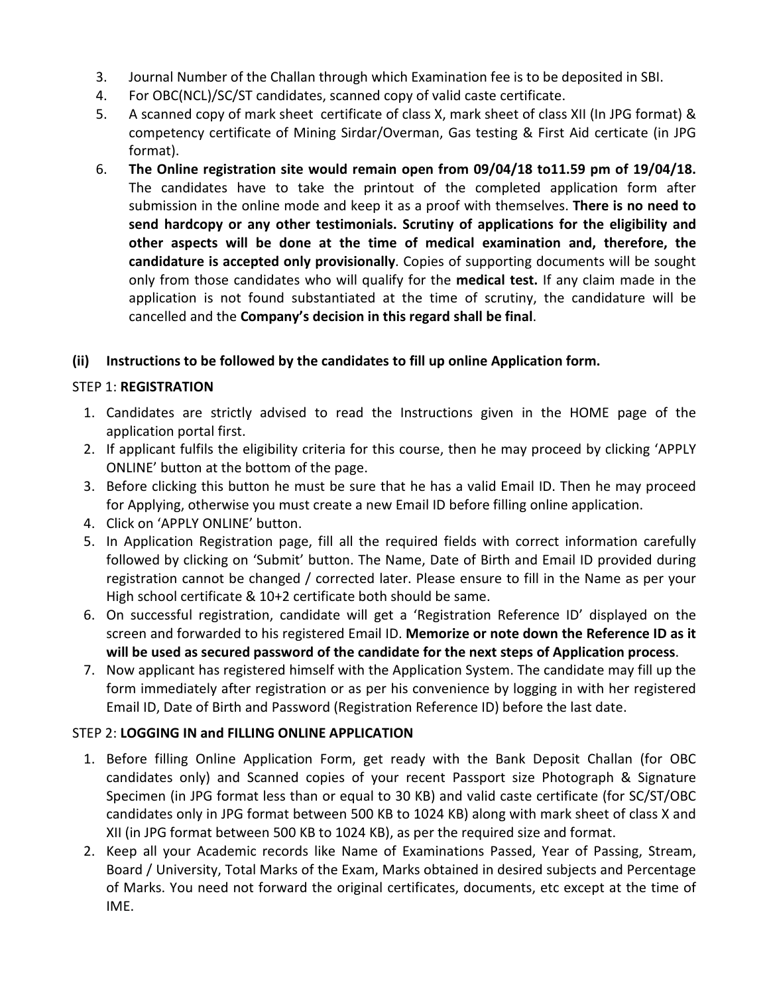- 3. Journal Number of the Challan through which Examination fee is to be deposited in SBI.
- 4. For OBC(NCL)/SC/ST candidates, scanned copy of valid caste certificate.
- 5. A scanned copy of mark sheet certificate of class X, mark sheet of class XII (In JPG format) & competency certificate of Mining Sirdar/Overman, Gas testing & First Aid certicate (in JPG format).
- 6. **The Online registration site would remain open from 09/04/18 to11.59 pm of 19/04/18.**  The candidates have to take the printout of the completed application form after submission in the online mode and keep it as a proof with themselves. **There is no need to send hardcopy or any other testimonials. Scrutiny of applications for the eligibility and other aspects will be done at the time of medical examination and, therefore, the candidature is accepted only provisionally**. Copies of supporting documents will be sought only from those candidates who will qualify for the **medical test.** If any claim made in the application is not found substantiated at the time of scrutiny, the candidature will be cancelled and the **Company's decision in this regard shall be final**.

# **(ii) Instructions to be followed by the candidates to fill up online Application form.**

## STEP 1: **REGISTRATION**

- 1. Candidates are strictly advised to read the Instructions given in the HOME page of the application portal first.
- 2. If applicant fulfils the eligibility criteria for this course, then he may proceed by clicking 'APPLY ONLINE' button at the bottom of the page.
- 3. Before clicking this button he must be sure that he has a valid Email ID. Then he may proceed for Applying, otherwise you must create a new Email ID before filling online application.
- 4. Click on 'APPLY ONLINE' button.
- 5. In Application Registration page, fill all the required fields with correct information carefully followed by clicking on 'Submit' button. The Name, Date of Birth and Email ID provided during registration cannot be changed / corrected later. Please ensure to fill in the Name as per your High school certificate & 10+2 certificate both should be same.
- 6. On successful registration, candidate will get a 'Registration Reference ID' displayed on the screen and forwarded to his registered Email ID. **Memorize or note down the Reference ID as it will be used as secured password of the candidate for the next steps of Application process**.
- 7. Now applicant has registered himself with the Application System. The candidate may fill up the form immediately after registration or as per his convenience by logging in with her registered Email ID, Date of Birth and Password (Registration Reference ID) before the last date.

# STEP 2: **LOGGING IN and FILLING ONLINE APPLICATION**

- 1. Before filling Online Application Form, get ready with the Bank Deposit Challan (for OBC candidates only) and Scanned copies of your recent Passport size Photograph & Signature Specimen (in JPG format less than or equal to 30 KB) and valid caste certificate (for SC/ST/OBC candidates only in JPG format between 500 KB to 1024 KB) along with mark sheet of class X and XII (in JPG format between 500 KB to 1024 KB), as per the required size and format.
- 2. Keep all your Academic records like Name of Examinations Passed, Year of Passing, Stream, Board / University, Total Marks of the Exam, Marks obtained in desired subjects and Percentage of Marks. You need not forward the original certificates, documents, etc except at the time of IME.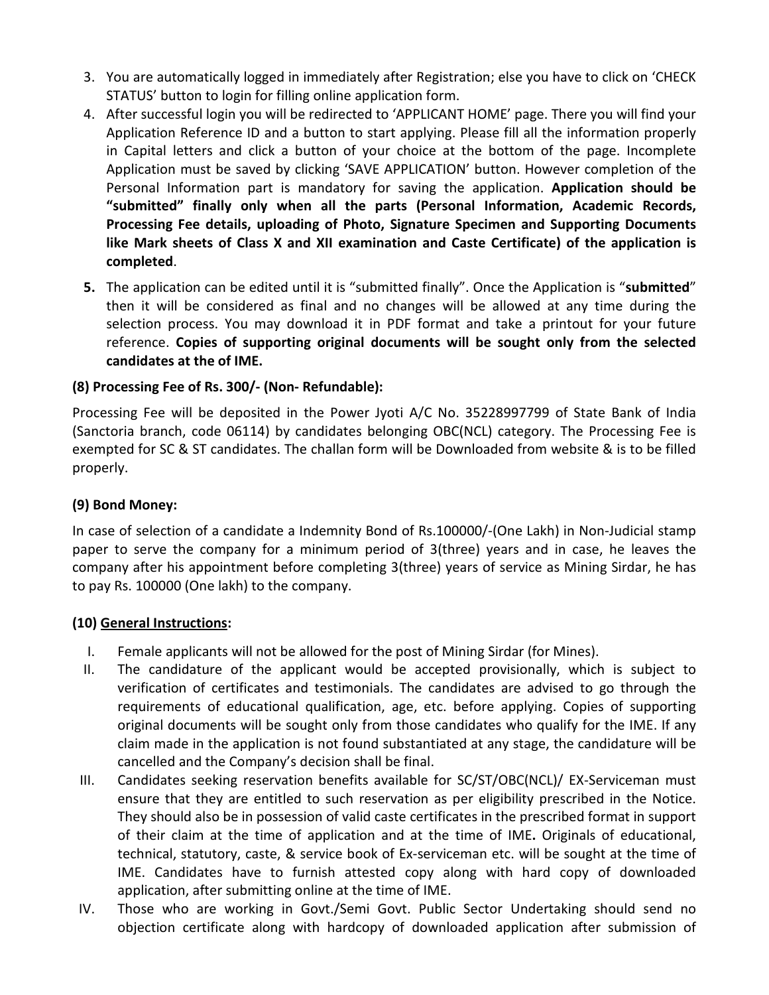- 3. You are automatically logged in immediately after Registration; else you have to click on 'CHECK STATUS' button to login for filling online application form.
- 4. After successful login you will be redirected to 'APPLICANT HOME' page. There you will find your Application Reference ID and a button to start applying. Please fill all the information properly in Capital letters and click a button of your choice at the bottom of the page. Incomplete Application must be saved by clicking 'SAVE APPLICATION' button. However completion of the Personal Information part is mandatory for saving the application. **Application should be "submitted" finally only when all the parts (Personal Information, Academic Records, Processing Fee details, uploading of Photo, Signature Specimen and Supporting Documents like Mark sheets of Class X and XII examination and Caste Certificate) of the application is completed**.
- **5.** The application can be edited until it is "submitted finally". Once the Application is "**submitted**" then it will be considered as final and no changes will be allowed at any time during the selection process. You may download it in PDF format and take a printout for your future reference. **Copies of supporting original documents will be sought only from the selected candidates at the of IME.**

### **(8) Processing Fee of Rs. 300/- (Non- Refundable):**

Processing Fee will be deposited in the Power Jyoti A/C No. 35228997799 of State Bank of India (Sanctoria branch, code 06114) by candidates belonging OBC(NCL) category. The Processing Fee is exempted for SC & ST candidates. The challan form will be Downloaded from website & is to be filled properly.

### **(9) Bond Money:**

In case of selection of a candidate a Indemnity Bond of Rs.100000/-(One Lakh) in Non-Judicial stamp paper to serve the company for a minimum period of 3(three) years and in case, he leaves the company after his appointment before completing 3(three) years of service as Mining Sirdar, he has to pay Rs. 100000 (One lakh) to the company.

### **(10) General Instructions:**

- I. Female applicants will not be allowed for the post of Mining Sirdar (for Mines).
- II. The candidature of the applicant would be accepted provisionally, which is subject to verification of certificates and testimonials. The candidates are advised to go through the requirements of educational qualification, age, etc. before applying. Copies of supporting original documents will be sought only from those candidates who qualify for the IME. If any claim made in the application is not found substantiated at any stage, the candidature will be cancelled and the Company's decision shall be final.
- III. Candidates seeking reservation benefits available for SC/ST/OBC(NCL)/ EX-Serviceman must ensure that they are entitled to such reservation as per eligibility prescribed in the Notice. They should also be in possession of valid caste certificates in the prescribed format in support of their claim at the time of application and at the time of IME**.** Originals of educational, technical, statutory, caste, & service book of Ex-serviceman etc. will be sought at the time of IME. Candidates have to furnish attested copy along with hard copy of downloaded application, after submitting online at the time of IME.
- IV. Those who are working in Govt./Semi Govt. Public Sector Undertaking should send no objection certificate along with hardcopy of downloaded application after submission of